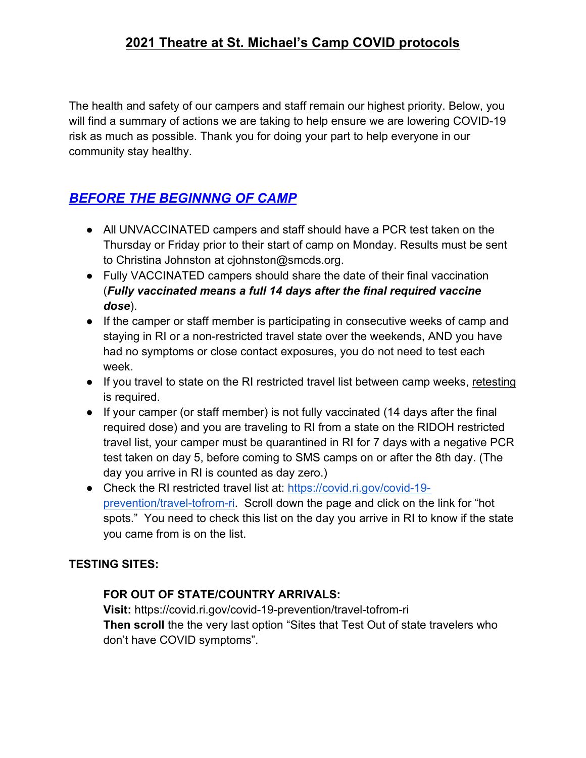The health and safety of our campers and staff remain our highest priority. Below, you will find a summary of actions we are taking to help ensure we are lowering COVID-19 risk as much as possible. Thank you for doing your part to help everyone in our community stay healthy.

# *BEFORE THE BEGINNNG OF CAMP*

- All UNVACCINATED campers and staff should have a PCR test taken on the Thursday or Friday prior to their start of camp on Monday. Results must be sent to Christina Johnston at cjohnston@smcds.org.
- Fully VACCINATED campers should share the date of their final vaccination (*Fully vaccinated means a full 14 days after the final required vaccine dose*).
- If the camper or staff member is participating in consecutive weeks of camp and staying in RI or a non-restricted travel state over the weekends, AND you have had no symptoms or close contact exposures, you do not need to test each week.
- If you travel to state on the RI restricted travel list between camp weeks, retesting is required.
- If your camper (or staff member) is not fully vaccinated (14 days after the final required dose) and you are traveling to RI from a state on the RIDOH restricted travel list, your camper must be quarantined in RI for 7 days with a negative PCR test taken on day 5, before coming to SMS camps on or after the 8th day. (The day you arrive in RI is counted as day zero.)
- Check the RI restricted travel list at: https://covid.ri.gov/covid-19 prevention/travel-tofrom-ri. Scroll down the page and click on the link for "hot spots." You need to check this list on the day you arrive in RI to know if the state you came from is on the list.

#### **TESTING SITES:**

#### **FOR OUT OF STATE/COUNTRY ARRIVALS:**

**Visit:** https://covid.ri.gov/covid-19-prevention/travel-tofrom-ri **Then scroll** the the very last option "Sites that Test Out of state travelers who don't have COVID symptoms".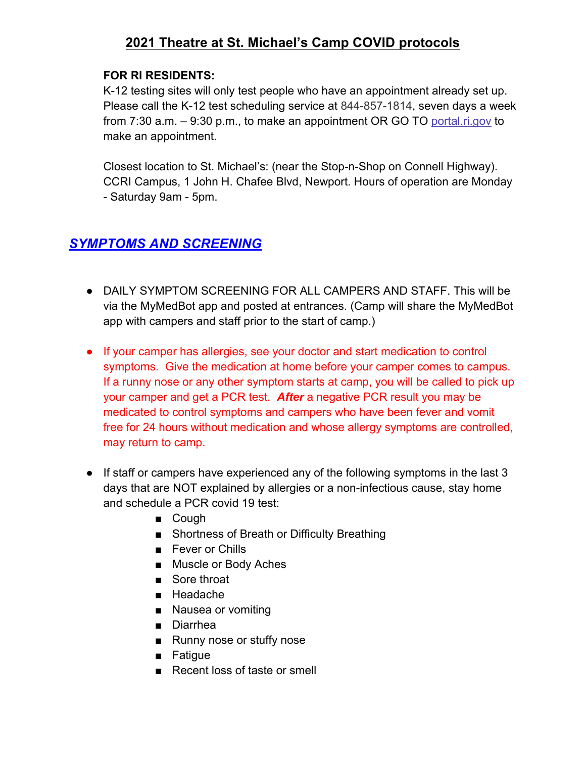### **2021 Theatre at St. Michael's Camp COVID protocols**

#### **FOR RI RESIDENTS:**

K-12 testing sites will only test people who have an appointment already set up. Please call the K-12 test scheduling service at 844-857-1814, seven days a week from 7:30 a.m. – 9:30 p.m., to make an appointment OR GO TO portal.ri.gov to make an appointment.

Closest location to St. Michael's: (near the Stop-n-Shop on Connell Highway). CCRI Campus, 1 John H. Chafee Blvd, Newport. Hours of operation are Monday - Saturday 9am - 5pm.

### *SYMPTOMS AND SCREENING*

- DAILY SYMPTOM SCREENING FOR ALL CAMPERS AND STAFF. This will be via the MyMedBot app and posted at entrances. (Camp will share the MyMedBot app with campers and staff prior to the start of camp.)
- If your camper has allergies, see your doctor and start medication to control symptoms. Give the medication at home before your camper comes to campus. If a runny nose or any other symptom starts at camp, you will be called to pick up your camper and get a PCR test. *After* a negative PCR result you may be medicated to control symptoms and campers who have been fever and vomit free for 24 hours without medication and whose allergy symptoms are controlled, may return to camp.
- If staff or campers have experienced any of the following symptoms in the last 3 days that are NOT explained by allergies or a non-infectious cause, stay home and schedule a PCR covid 19 test:
	- Cough
	- Shortness of Breath or Difficulty Breathing
	- Fever or Chills
	- Muscle or Body Aches
	- Sore throat
	- Headache
	- Nausea or vomiting
	- Diarrhea
	- Runny nose or stuffy nose
	- Fatique
	- Recent loss of taste or smell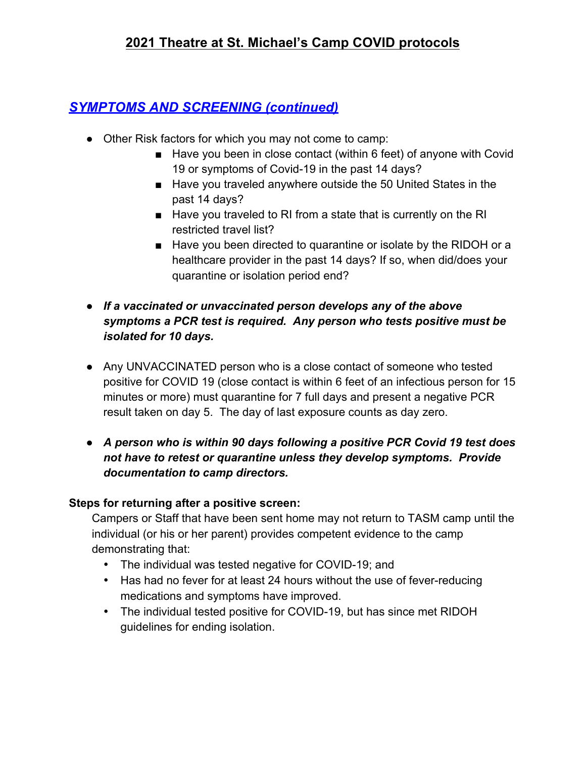## *SYMPTOMS AND SCREENING (continued)*

- Other Risk factors for which you may not come to camp:
	- Have you been in close contact (within 6 feet) of anyone with Covid 19 or symptoms of Covid-19 in the past 14 days?
	- Have you traveled anywhere outside the 50 United States in the past 14 days?
	- Have you traveled to RI from a state that is currently on the RI restricted travel list?
	- Have you been directed to quarantine or isolate by the RIDOH or a healthcare provider in the past 14 days? If so, when did/does your quarantine or isolation period end?
- *If a vaccinated or unvaccinated person develops any of the above symptoms a PCR test is required. Any person who tests positive must be isolated for 10 days.*
- Any UNVACCINATED person who is a close contact of someone who tested positive for COVID 19 (close contact is within 6 feet of an infectious person for 15 minutes or more) must quarantine for 7 full days and present a negative PCR result taken on day 5. The day of last exposure counts as day zero.
- *A person who is within 90 days following a positive PCR Covid 19 test does not have to retest or quarantine unless they develop symptoms. Provide documentation to camp directors.*

### **Steps for returning after a positive screen:**

Campers or Staff that have been sent home may not return to TASM camp until the individual (or his or her parent) provides competent evidence to the camp demonstrating that:

- The individual was tested negative for COVID-19; and
- Has had no fever for at least 24 hours without the use of fever-reducing medications and symptoms have improved.
- The individual tested positive for COVID-19, but has since met RIDOH guidelines for ending isolation.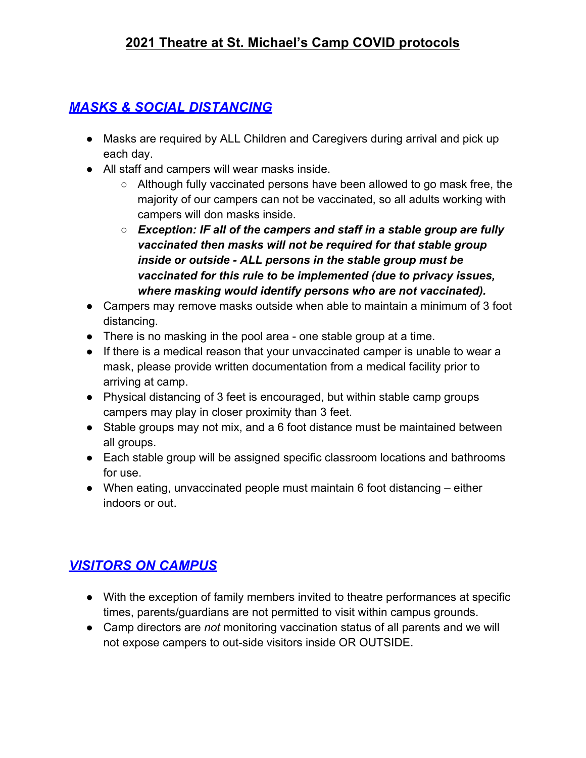# *MASKS & SOCIAL DISTANCING*

- Masks are required by ALL Children and Caregivers during arrival and pick up each day.
- All staff and campers will wear masks inside.
	- Although fully vaccinated persons have been allowed to go mask free, the majority of our campers can not be vaccinated, so all adults working with campers will don masks inside.
	- *Exception: IF all of the campers and staff in a stable group are fully vaccinated then masks will not be required for that stable group inside or outside - ALL persons in the stable group must be vaccinated for this rule to be implemented (due to privacy issues, where masking would identify persons who are not vaccinated).*
- Campers may remove masks outside when able to maintain a minimum of 3 foot distancing.
- There is no masking in the pool area one stable group at a time.
- If there is a medical reason that your unvaccinated camper is unable to wear a mask, please provide written documentation from a medical facility prior to arriving at camp.
- Physical distancing of 3 feet is encouraged, but within stable camp groups campers may play in closer proximity than 3 feet.
- Stable groups may not mix, and a 6 foot distance must be maintained between all groups.
- Each stable group will be assigned specific classroom locations and bathrooms for use.
- When eating, unvaccinated people must maintain 6 foot distancing either indoors or out.

# *VISITORS ON CAMPUS*

- With the exception of family members invited to theatre performances at specific times, parents/guardians are not permitted to visit within campus grounds.
- Camp directors are *not* monitoring vaccination status of all parents and we will not expose campers to out-side visitors inside OR OUTSIDE.